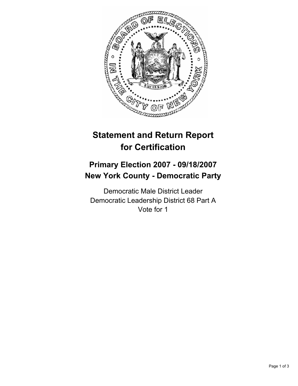

## **Statement and Return Report for Certification**

## **Primary Election 2007 - 09/18/2007 New York County - Democratic Party**

Democratic Male District Leader Democratic Leadership District 68 Part A Vote for 1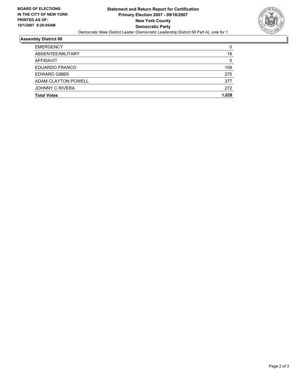

## **Assembly District 68**

| <b>EMERGENCY</b>       |       |
|------------------------|-------|
| ABSENTEE/MILITARY      | 18    |
| AFFIDAVIT              | 5     |
| EDUARDO FRANCO         | 109   |
| <b>EDWARD GIBBS</b>    | 270   |
| ADAM CLAYTON POWELL    | 377   |
| <b>JOHNNY C RIVERA</b> | 272   |
| <b>Total Votes</b>     | 1.028 |